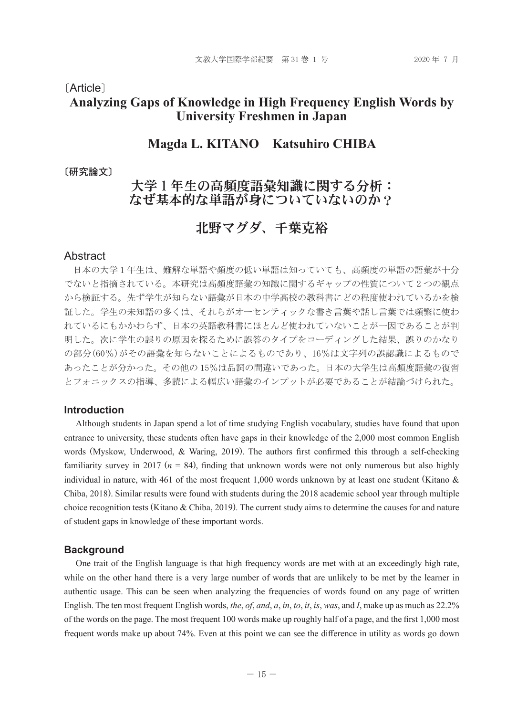#### 〔Article〕

## **Analyzing Gaps of Knowledge in High Frequency English Words by University Freshmen in Japan**

## **Magda L. KITANO Katsuhiro CHIBA**

〔研究論文〕

## 大学1年生の高頻度語彙知識に関する分析: なぜ基本的な単語が身についていないのか?

# 北野マグダ、千葉克裕

#### Abstract

 日本の大学 1 年生は、難解な単語や頻度の低い単語は知っていても、高頻度の単語の語彙が十分 でないと指摘されている。本研究は高頻度語彙の知識に関するギャップの性質について 2 つの観点 から検証する。先ず学生が知らない語彙が日本の中学高校の教科書にどの程度使われているかを検 証した。学生の未知語の多くは、それらがオーセンティックな書き言葉や話し言葉では頻繁に使わ れているにもかかわらず、日本の英語教科書にほとんど使われていないことが一因であることが判 明した。次に学生の誤りの原因を探るために誤答のタイプをコーディングした結果、誤りのかなり の部分(60%)がその語彙を知らないことによるものであり、16%は文字列の誤認識によるもので あったことが分かった。その他の 15%は品詞の間違いであった。日本の大学生は高頻度語彙の復習 とフォニックスの指導、多読による幅広い語彙のインプットが必要であることが結論づけられた。

#### **Introduction**

Although students in Japan spend a lot of time studying English vocabulary, studies have found that upon entrance to university, these students often have gaps in their knowledge of the 2,000 most common English words (Myskow, Underwood, & Waring, 2019). The authors first confirmed this through a self-checking familiarity survey in 2017 ( $n = 84$ ), finding that unknown words were not only numerous but also highly individual in nature, with 461 of the most frequent 1,000 words unknown by at least one student (Kitano & Chiba, 2018). Similar results were found with students during the 2018 academic school year through multiple choice recognition tests (Kitano & Chiba, 2019). The current study aims to determine the causes for and nature of student gaps in knowledge of these important words.

#### **Background**

One trait of the English language is that high frequency words are met with at an exceedingly high rate, while on the other hand there is a very large number of words that are unlikely to be met by the learner in authentic usage. This can be seen when analyzing the frequencies of words found on any page of written English. The ten most frequent English words, *the*, *of*, *and*, *a*, *in*, *to*, *it*, *is*, *was*, and *I*, make up as much as 22.2% of the words on the page. The most frequent 100 words make up roughly half of a page, and the first 1,000 most frequent words make up about 74%. Even at this point we can see the difference in utility as words go down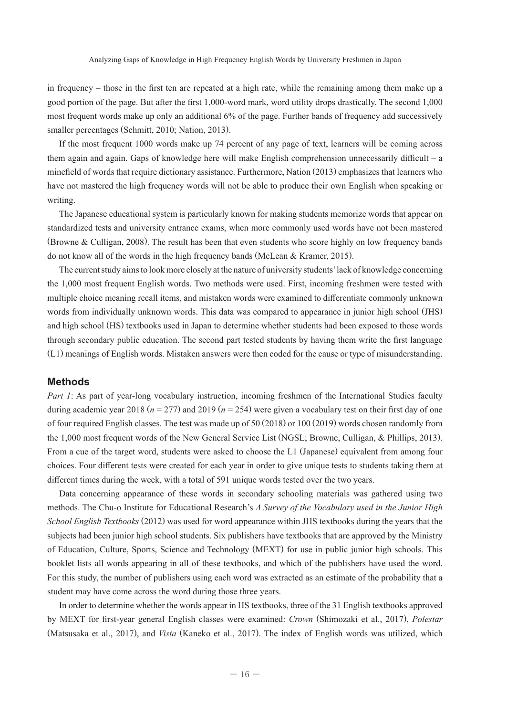in frequency – those in the first ten are repeated at a high rate, while the remaining among them make up a good portion of the page. But after the first 1,000-word mark, word utility drops drastically. The second 1,000 most frequent words make up only an additional 6% of the page. Further bands of frequency add successively smaller percentages (Schmitt, 2010; Nation, 2013).

If the most frequent 1000 words make up 74 percent of any page of text, learners will be coming across them again and again. Gaps of knowledge here will make English comprehension unnecessarily difficult – a minefield of words that require dictionary assistance. Furthermore, Nation (2013) emphasizes that learners who have not mastered the high frequency words will not be able to produce their own English when speaking or writing.

The Japanese educational system is particularly known for making students memorize words that appear on standardized tests and university entrance exams, when more commonly used words have not been mastered (Browne & Culligan, 2008). The result has been that even students who score highly on low frequency bands do not know all of the words in the high frequency bands (McLean & Kramer, 2015).

The current study aims to look more closely at the nature of university students' lack of knowledge concerning the 1,000 most frequent English words. Two methods were used. First, incoming freshmen were tested with multiple choice meaning recall items, and mistaken words were examined to differentiate commonly unknown words from individually unknown words. This data was compared to appearance in junior high school (JHS) and high school (HS) textbooks used in Japan to determine whether students had been exposed to those words through secondary public education. The second part tested students by having them write the first language (L1) meanings of English words. Mistaken answers were then coded for the cause or type of misunderstanding.

#### **Methods**

*Part 1*: As part of year-long vocabulary instruction, incoming freshmen of the International Studies faculty during academic year 2018 ( $n = 277$ ) and 2019 ( $n = 254$ ) were given a vocabulary test on their first day of one of four required English classes. The test was made up of 50 (2018) or 100 (2019) words chosen randomly from the 1,000 most frequent words of the New General Service List (NGSL; Browne, Culligan, & Phillips, 2013). From a cue of the target word, students were asked to choose the L1 (Japanese) equivalent from among four choices. Four different tests were created for each year in order to give unique tests to students taking them at different times during the week, with a total of 591 unique words tested over the two years.

Data concerning appearance of these words in secondary schooling materials was gathered using two methods. The Chu-o Institute for Educational Research's *A Survey of the Vocabulary used in the Junior High School English Textbooks* (2012) was used for word appearance within JHS textbooks during the years that the subjects had been junior high school students. Six publishers have textbooks that are approved by the Ministry of Education, Culture, Sports, Science and Technology (MEXT) for use in public junior high schools. This booklet lists all words appearing in all of these textbooks, and which of the publishers have used the word. For this study, the number of publishers using each word was extracted as an estimate of the probability that a student may have come across the word during those three years.

In order to determine whether the words appear in HS textbooks, three of the 31 English textbooks approved by MEXT for first-year general English classes were examined: *Crown* (Shimozaki et al., 2017), *Polestar*  (Matsusaka et al., 2017), and *Vista* (Kaneko et al., 2017). The index of English words was utilized, which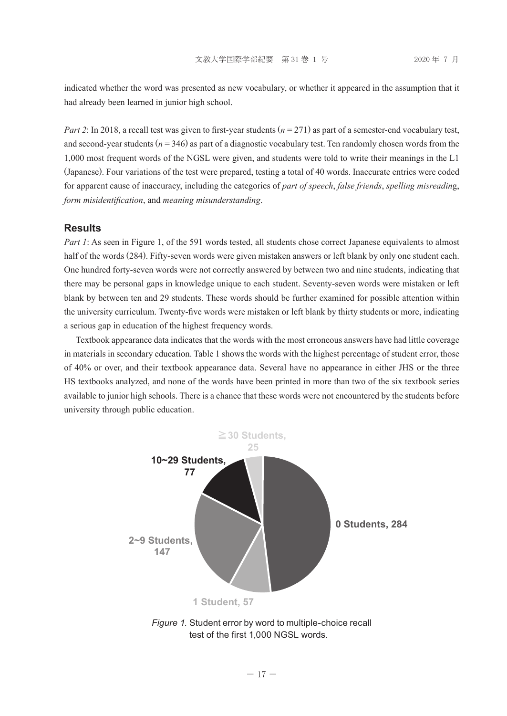indicated whether the word was presented as new vocabulary, or whether it appeared in the assumption that it had already been learned in junior high school.

*Part 2*: In 2018, a recall test was given to first-year students (*n* = 271) as part of a semester-end vocabulary test, and second-year students  $(n = 346)$  as part of a diagnostic vocabulary test. Ten randomly chosen words from the 1,000 most frequent words of the NGSL were given, and students were told to write their meanings in the L1 (Japanese). Four variations of the test were prepared, testing a total of 40 words. Inaccurate entries were coded for apparent cause of inaccuracy, including the categories of *part of speech*, *false friends*, *spelling misreadin*g, *form misidentification*, and *meaning misunderstanding*.

#### **Results**

*Part 1*: As seen in Figure 1, of the 591 words tested, all students chose correct Japanese equivalents to almost half of the words (284). Fifty-seven words were given mistaken answers or left blank by only one student each. One hundred forty-seven words were not correctly answered by between two and nine students, indicating that there may be personal gaps in knowledge unique to each student. Seventy-seven words were mistaken or left blank by between ten and 29 students. These words should be further examined for possible attention within the university curriculum. Twenty-five words were mistaken or left blank by thirty students or more, indicating a serious gap in education of the highest frequency words.

Textbook appearance data indicates that the words with the most erroneous answers have had little coverage in materials in secondary education. Table 1 shows the words with the highest percentage of student error, those of 40% or over, and their textbook appearance data. Several have no appearance in either JHS or the three HS textbooks analyzed, and none of the words have been printed in more than two of the six textbook series available to junior high schools. There is a chance that these words were not encountered by the students before university through public education.



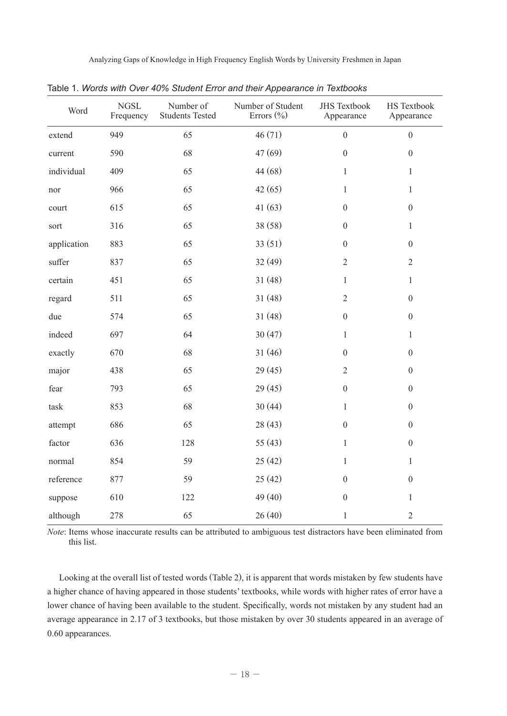Analyzing Gaps of Knowledge in High Frequency English Words by University Freshmen in Japan

| Word        | <b>NGSL</b><br>Frequency | Number of<br><b>Students Tested</b> | Number of Student<br>Errors $(\% )$ | <b>JHS Textbook</b><br>Appearance | <b>HS</b> Textbook<br>Appearance |
|-------------|--------------------------|-------------------------------------|-------------------------------------|-----------------------------------|----------------------------------|
| extend      | 949                      | 65                                  | 46(71)                              | $\theta$                          | $\overline{0}$                   |
| current     | 590                      | 68                                  | 47(69)                              | $\boldsymbol{0}$                  | $\boldsymbol{0}$                 |
| individual  | 409                      | 65                                  | 44 (68)                             | $\mathbf{1}$                      | $\mathbf{1}$                     |
| nor         | 966                      | 65                                  | 42(65)                              | 1                                 | $\mathbf{1}$                     |
| court       | 615                      | 65                                  | 41(63)                              | $\overline{0}$                    | $\overline{0}$                   |
| sort        | 316                      | 65                                  | 38 (58)                             | $\overline{0}$                    | 1                                |
| application | 883                      | 65                                  | 33(51)                              | $\overline{0}$                    | $\overline{0}$                   |
| suffer      | 837                      | 65                                  | 32(49)                              | $\overline{2}$                    | $\overline{2}$                   |
| certain     | 451                      | 65                                  | 31(48)                              | $\mathbf{1}$                      | $\mathbf{1}$                     |
| regard      | 511                      | 65                                  | 31(48)                              | 2                                 | $\overline{0}$                   |
| due         | 574                      | 65                                  | 31(48)                              | $\overline{0}$                    | $\overline{0}$                   |
| indeed      | 697                      | 64                                  | 30(47)                              | 1                                 | $\mathbf{1}$                     |
| exactly     | 670                      | 68                                  | 31(46)                              | $\mathbf{0}$                      | $\overline{0}$                   |
| major       | 438                      | 65                                  | 29(45)                              | $\overline{2}$                    | $\overline{0}$                   |
| fear        | 793                      | 65                                  | 29 (45)                             | $\boldsymbol{0}$                  | $\boldsymbol{0}$                 |
| task        | 853                      | 68                                  | 30(44)                              | $\mathbf{1}$                      | $\boldsymbol{0}$                 |
| attempt     | 686                      | 65                                  | 28(43)                              | $\overline{0}$                    | $\overline{0}$                   |
| factor      | 636                      | 128                                 | 55(43)                              | $\mathbf{1}$                      | $\overline{0}$                   |
| normal      | 854                      | 59                                  | 25(42)                              | 1                                 | 1                                |
| reference   | 877                      | 59                                  | 25(42)                              | $\theta$                          | $\overline{0}$                   |
| suppose     | 610                      | 122                                 | 49(40)                              | $\overline{0}$                    | $\mathbf{1}$                     |
| although    | 278                      | 65                                  | 26(40)                              | $\mathbf{1}$                      | $\overline{2}$                   |

Table 1. *Words with Over 40% Student Error and their Appearance in Textbooks*

*Note*: Items whose inaccurate results can be attributed to ambiguous test distractors have been eliminated from this list.

Looking at the overall list of tested words (Table 2), it is apparent that words mistaken by few students have a higher chance of having appeared in those students' textbooks, while words with higher rates of error have a lower chance of having been available to the student. Specifically, words not mistaken by any student had an average appearance in 2.17 of 3 textbooks, but those mistaken by over 30 students appeared in an average of 0.60 appearances.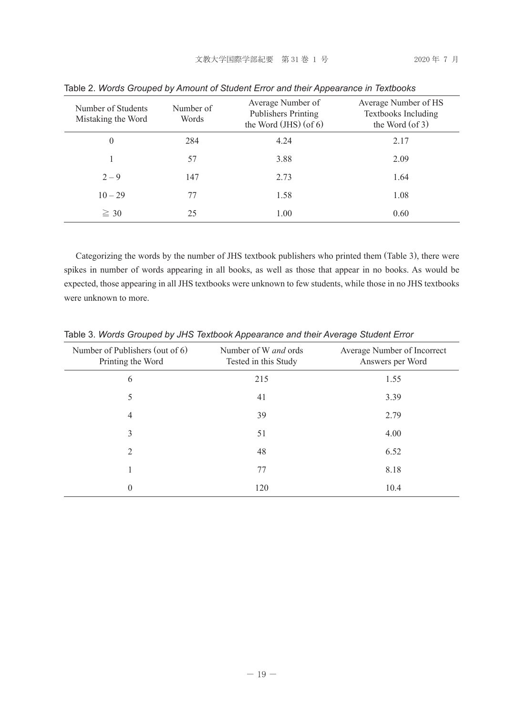| Number of Students<br>Mistaking the Word | Number of<br>Words | Average Number of<br>Publishers Printing<br>the Word $(JHS)$ (of 6) | Average Number of HS<br>Textbooks Including<br>the Word $($ of 3 $)$ |
|------------------------------------------|--------------------|---------------------------------------------------------------------|----------------------------------------------------------------------|
| 0                                        | 284                | 4.24                                                                | 2.17                                                                 |
|                                          | 57                 | 3.88                                                                | 2.09                                                                 |
| $2 - 9$                                  | 147                | 2.73                                                                | 1.64                                                                 |
| $10 - 29$                                | 77                 | 1.58                                                                | 1.08                                                                 |
| $\geq 30$                                | 25                 | 1.00                                                                | 0.60                                                                 |

Table 2. *Words Grouped by Amount of Student Error and their Appearance in Textbooks*

Categorizing the words by the number of JHS textbook publishers who printed them (Table 3), there were spikes in number of words appearing in all books, as well as those that appear in no books. As would be expected, those appearing in all JHS textbooks were unknown to few students, while those in no JHS textbooks were unknown to more.

| Number of Publishers (out of 6)<br>Printing the Word | Number of W <i>and</i> ords<br>Tested in this Study | Average Number of Incorrect<br>Answers per Word |
|------------------------------------------------------|-----------------------------------------------------|-------------------------------------------------|
| 6                                                    | 215                                                 | 1.55                                            |
| 5                                                    | 41                                                  | 3.39                                            |
| 4                                                    | 39                                                  | 2.79                                            |
| 3                                                    | 51                                                  | 4.00                                            |
| 2                                                    | 48                                                  | 6.52                                            |
| 1                                                    | 77                                                  | 8.18                                            |
| $\overline{0}$                                       | 120                                                 | 10.4                                            |

Table 3. *Words Grouped by JHS Textbook Appearance and their Average Student Error*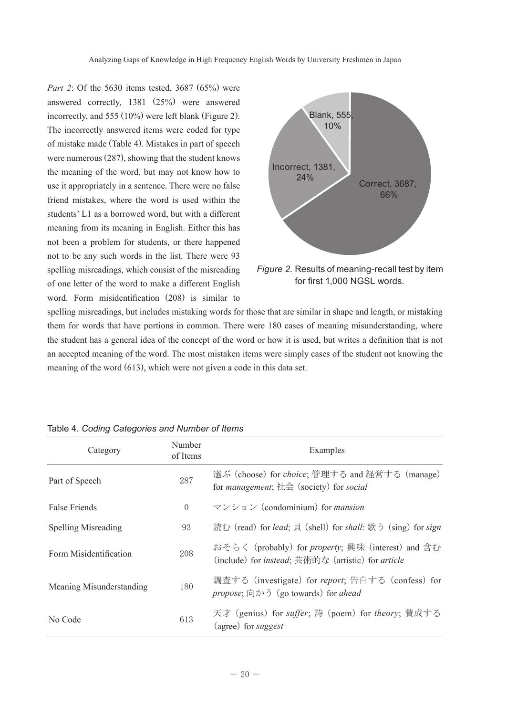*Part 2*: Of the 5630 items tested, 3687 (65%) were answered correctly, 1381 (25%) were answered incorrectly, and 555 (10%) were left blank (Figure 2). The incorrectly answered items were coded for type of mistake made (Table 4). Mistakes in part of speech were numerous (287), showing that the student knows the meaning of the word, but may not know how to use it appropriately in a sentence. There were no false friend mistakes, where the word is used within the students' L1 as a borrowed word, but with a different meaning from its meaning in English. Either this has not been a problem for students, or there happened not to be any such words in the list. There were 93 spelling misreadings, which consist of the misreading of one letter of the word to make a different English word. Form misidentification (208) is similar to



*Figure 2*. Results of meaning-recall test by item for first 1,000 NGSL words.

spelling misreadings, but includes mistaking words for those that are similar in shape and length, or mistaking them for words that have portions in common. There were 180 cases of meaning misunderstanding, where the student has a general idea of the concept of the word or how it is used, but writes a definition that is not an accepted meaning of the word. The most mistaken items were simply cases of the student not knowing the meaning of the word (613), which were not given a code in this data set.

| Category                 | Number<br>of Items | Examples                                                                                                                                     |
|--------------------------|--------------------|----------------------------------------------------------------------------------------------------------------------------------------------|
| Part of Speech           | 287                | 選ぶ (choose) for <i>choice</i> ; 管理する and 経営する (manage)<br>for <i>management</i> ; $\angle \pm \hat{\mathcal{L}}$ (society) for <i>social</i> |
| False Friends            | $\overline{0}$     | $\forall$ $\forall$ $\forall$ $\exists$ $\forall$ (condominium) for <i>mansion</i>                                                           |
| Spelling Misreading      | 93                 | 読む (read) for lead; 貝 (shell) for shall: 歌う (sing) for sign                                                                                  |
| Form Misidentification   | 208                | おそらく (probably) for <i>property</i> ; 興味 (interest) and 含む<br>(include) for <i>instead</i> ; 芸術的な (artistic) for <i>article</i>              |
| Meaning Misunderstanding | 180                | 調査する (investigate) for report; 告白する (confess) for<br>propose; $\Box$ $\Diamond$ $\Diamond$ (go towards) for ahead                            |
| No Code                  | 613                | 天才 (genius) for suffer; 詩 (poem) for theory; 賛成する<br>(agree) for suggest                                                                     |

### Table 4. *Coding Categories and Number of Items*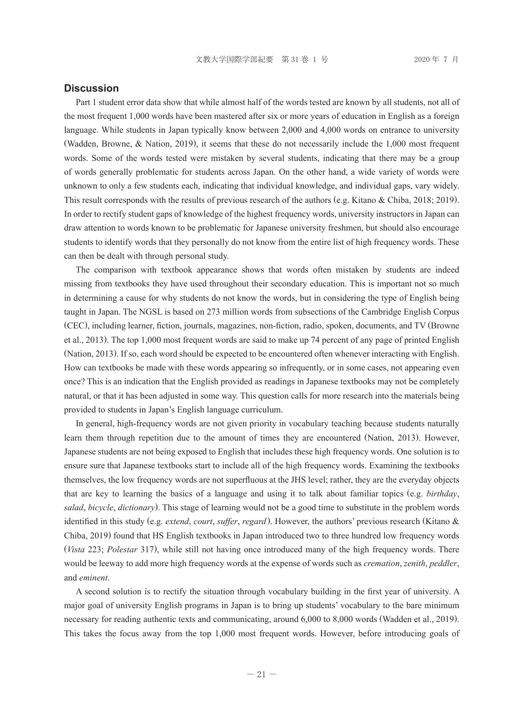#### **Discussion**

Part 1 student error data show that while almost half of the words tested are known by all students, not all of the most frequent 1,000 words have been mastered after six or more years of education in English as a foreign language. While students in Japan typically know between 2,000 and 4,000 words on entrance to university (Wadden, Browne, & Nation, 2019), it seems that these do not necessarily include the 1,000 most frequent words. Some of the words tested were mistaken by several students, indicating that there may be a group of words generally problematic for students across Japan. On the other hand, a wide variety of words were unknown to only a few students each, indicating that individual knowledge, and individual gaps, vary widely. This result corresponds with the results of previous research of the authors (e.g. Kitano & Chiba, 2018; 2019). In order to rectify student gaps of knowledge of the highest frequency words, university instructors in Japan can draw attention to words known to be problematic for Japanese university freshmen, but should also encourage students to identify words that they personally do not know from the entire list of high frequency words. These can then be dealt with through personal study.

The comparison with textbook appearance shows that words often mistaken by students are indeed missing from textbooks they have used throughout their secondary education. This is important not so much in determining a cause for why students do not know the words, but in considering the type of English being taught in Japan. The NGSL is based on 273 million words from subsections of the Cambridge English Corpus (CEC), including learner, fiction, journals, magazines, non-fiction, radio, spoken, documents, and TV (Browne et al., 2013). The top 1,000 most frequent words are said to make up 74 percent of any page of printed English (Nation, 2013). If so, each word should be expected to be encountered often whenever interacting with English. How can textbooks be made with these words appearing so infrequently, or in some cases, not appearing even once? This is an indication that the English provided as readings in Japanese textbooks may not be completely natural, or that it has been adjusted in some way. This question calls for more research into the materials being provided to students in Japan's English language curriculum.

In general, high-frequency words are not given priority in vocabulary teaching because students naturally learn them through repetition due to the amount of times they are encountered (Nation, 2013). However, Japanese students are not being exposed to English that includes these high frequency words. One solution is to ensure sure that Japanese textbooks start to include all of the high frequency words. Examining the textbooks themselves, the low frequency words are not superfluous at the JHS level; rather, they are the everyday objects that are key to learning the basics of a language and using it to talk about familiar topics (e.g. *birthday*, *salad*, *bicycle*, *dictionary*). This stage of learning would not be a good time to substitute in the problem words identified in this study (e.g. *extend*, *court*, *suffer*, *regard*). However, the authors' previous research (Kitano & Chiba, 2019) found that HS English textbooks in Japan introduced two to three hundred low frequency words (*Vista* 223; *Polestar* 317), while still not having once introduced many of the high frequency words. There would be leeway to add more high frequency words at the expense of words such as *cremation*, *zenith*, *peddler*, and *eminent*.

A second solution is to rectify the situation through vocabulary building in the first year of university. A major goal of university English programs in Japan is to bring up students' vocabulary to the bare minimum necessary for reading authentic texts and communicating, around 6,000 to 8,000 words (Wadden et al., 2019). This takes the focus away from the top 1,000 most frequent words. However, before introducing goals of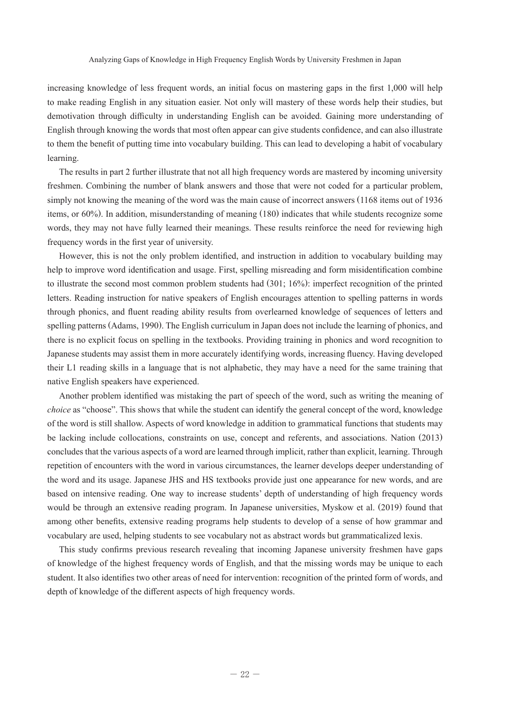increasing knowledge of less frequent words, an initial focus on mastering gaps in the first 1,000 will help to make reading English in any situation easier. Not only will mastery of these words help their studies, but demotivation through difficulty in understanding English can be avoided. Gaining more understanding of English through knowing the words that most often appear can give students confidence, and can also illustrate to them the benefit of putting time into vocabulary building. This can lead to developing a habit of vocabulary learning.

The results in part 2 further illustrate that not all high frequency words are mastered by incoming university freshmen. Combining the number of blank answers and those that were not coded for a particular problem, simply not knowing the meaning of the word was the main cause of incorrect answers (1168 items out of 1936 items, or 60%). In addition, misunderstanding of meaning (180) indicates that while students recognize some words, they may not have fully learned their meanings. These results reinforce the need for reviewing high frequency words in the first year of university.

However, this is not the only problem identified, and instruction in addition to vocabulary building may help to improve word identification and usage. First, spelling misreading and form misidentification combine to illustrate the second most common problem students had (301; 16%): imperfect recognition of the printed letters. Reading instruction for native speakers of English encourages attention to spelling patterns in words through phonics, and fluent reading ability results from overlearned knowledge of sequences of letters and spelling patterns (Adams, 1990). The English curriculum in Japan does not include the learning of phonics, and there is no explicit focus on spelling in the textbooks. Providing training in phonics and word recognition to Japanese students may assist them in more accurately identifying words, increasing fluency. Having developed their L1 reading skills in a language that is not alphabetic, they may have a need for the same training that native English speakers have experienced.

Another problem identified was mistaking the part of speech of the word, such as writing the meaning of *choice* as "choose". This shows that while the student can identify the general concept of the word, knowledge of the word is still shallow. Aspects of word knowledge in addition to grammatical functions that students may be lacking include collocations, constraints on use, concept and referents, and associations. Nation (2013) concludes that the various aspects of a word are learned through implicit, rather than explicit, learning. Through repetition of encounters with the word in various circumstances, the learner develops deeper understanding of the word and its usage. Japanese JHS and HS textbooks provide just one appearance for new words, and are based on intensive reading. One way to increase students' depth of understanding of high frequency words would be through an extensive reading program. In Japanese universities, Myskow et al. (2019) found that among other benefits, extensive reading programs help students to develop of a sense of how grammar and vocabulary are used, helping students to see vocabulary not as abstract words but grammaticalized lexis.

This study confirms previous research revealing that incoming Japanese university freshmen have gaps of knowledge of the highest frequency words of English, and that the missing words may be unique to each student. It also identifies two other areas of need for intervention: recognition of the printed form of words, and depth of knowledge of the different aspects of high frequency words.